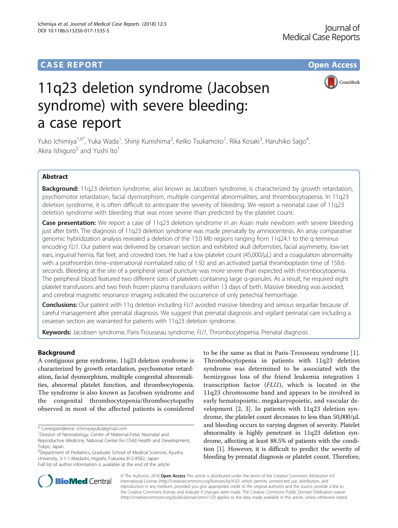# **CASE REPORT CASE REPORT CASE REPORT**

CrossMark

# 11q23 deletion syndrome (Jacobsen syndrome) with severe bleeding: a case report

Yuko Ichimiya<sup>1,6\*</sup>, Yuka Wada<sup>1</sup>, Shinji Kunishima<sup>2</sup>, Keiko Tsukamoto<sup>1</sup>, Rika Kosaki<sup>3</sup>, Haruhiko Sago<sup>4</sup> , Akira Ishiguro<sup>5</sup> and Yushi Ito<sup>1</sup>

# Abstract

Background: 11q23 deletion syndrome, also known as Jacobsen syndrome, is characterized by growth retardation, psychomotor retardation, facial dysmorphism, multiple congenital abnormalities, and thrombocytopenia. In 11q23 deletion syndrome, it is often difficult to anticipate the severity of bleeding. We report a neonatal case of 11q23 deletion syndrome with bleeding that was more severe than predicted by the platelet count.

**Case presentation:** We report a case of 11q23 deletion syndrome in an Asian male newborn with severe bleeding just after birth. The diagnosis of 11q23 deletion syndrome was made prenatally by amniocentesis. An array comparative genomic hybridization analysis revealed a deletion of the 13.0 Mb regions ranging from 11q24.1 to the q terminus encoding FLI1. Our patient was delivered by cesarean section and exhibited skull deformities, facial asymmetry, low-set ears, inguinal hernia, flat feet, and crowded toes. He had a low platelet count (45,000/μL) and a coagulation abnormality with a prothrombin time–international normalized ratio of 1.92 and an activated partial thromboplastin time of 158.6 seconds. Bleeding at the site of a peripheral vessel puncture was more severe than expected with thrombocytopenia. The peripheral blood featured two different sizes of platelets containing large α-granules. As a result, he required eight platelet transfusions and two fresh frozen plasma transfusions within 13 days of birth. Massive bleeding was avoided, and cerebral magnetic resonance imaging indicated the occurrence of only petechial hemorrhage.

Conclusions: Our patient with 11q deletion including FLI1 avoided massive bleeding and serious sequelae because of careful management after prenatal diagnosis. We suggest that prenatal diagnosis and vigilant perinatal care including a cesarean section are warranted for patients with 11q23 deletion syndrome.

Keywords: Jacobsen syndrome, Paris-Trousseau syndrome, FLI1, Thrombocytopenia, Prenatal diagnosis

# Background

A contiguous gene syndrome, 11q23 deletion syndrome is characterized by growth retardation, psychomotor retardation, facial dysmorphism, multiple congenital abnormalities, abnormal platelet function, and thrombocytopenia. The syndrome is also known as Jacobsen syndrome and the congenital thrombocytopenia/thrombocytopathy observed in most of the affected patients is considered

<sup>6</sup>Department of Pediatrics, Graduate School of Medical Sciences, Kyushu University, 3-1-1 Maidashi, Higashi, Fukuoka 812-8582, Japan Full list of author information is available at the end of the article

to be the same as that in Paris-Trousseau syndrome [\[1](#page-3-0)]. Thrombocytopenia in patients with 11q23 deletion syndrome was determined to be associated with the hemizygous loss of the friend leukemia integration 1 transcription factor (FLI1), which is located in the 11q23 chromosome band and appears to be involved in early hematopoietic, megakaryopoietic, and vascular development [[2, 3](#page-3-0)]. In patients with 11q23 deletion syndrome, the platelet count decreases to less than 50,000/μL and bleeding occurs to varying degrees of severity. Platelet abnormality is highly penetrant in 11q23 deletion syndrome, affecting at least 88.5% of patients with the condition [[1](#page-3-0)]. However, it is difficult to predict the severity of bleeding by prenatal diagnosis or platelet count. Therefore,



© The Author(s). 2018 Open Access This article is distributed under the terms of the Creative Commons Attribution 4.0 International License [\(http://creativecommons.org/licenses/by/4.0/](http://creativecommons.org/licenses/by/4.0/)), which permits unrestricted use, distribution, and reproduction in any medium, provided you give appropriate credit to the original author(s) and the source, provide a link to the Creative Commons license, and indicate if changes were made. The Creative Commons Public Domain Dedication waiver [\(http://creativecommons.org/publicdomain/zero/1.0/](http://creativecommons.org/publicdomain/zero/1.0/)) applies to the data made available in this article, unless otherwise stated.

<sup>\*</sup> Correspondence: [ichimiyayuko@gmail.com](mailto:ichimiyayuko@gmail.com) <sup>1</sup>

<sup>&</sup>lt;sup>1</sup> Division of Neonatology, Center of Maternal-Fetal, Neonatal and

Reproductive Medicine, National Center for Child Health and Development, Tokyo, Japan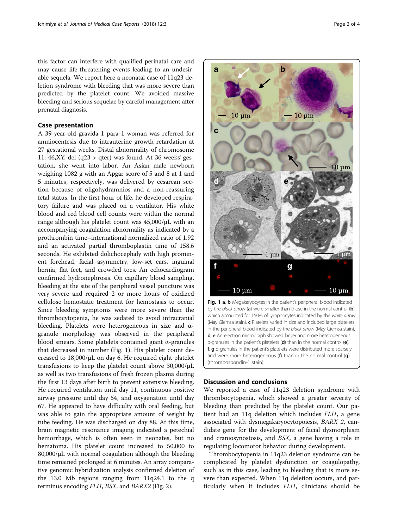this factor can interfere with qualified perinatal care and may cause life-threatening events leading to an undesirable sequela. We report here a neonatal case of 11q23 deletion syndrome with bleeding that was more severe than predicted by the platelet count. We avoided massive bleeding and serious sequelae by careful management after prenatal diagnosis.

## Case presentation

A 39-year-old gravida 1 para 1 woman was referred for amniocentesis due to intrauterine growth retardation at 27 gestational weeks. Distal abnormality of chromosome 11: 46,XY, del (q23 > qter) was found. At 36 weeks' gestation, she went into labor. An Asian male newborn weighing 1082 g with an Apgar score of 5 and 8 at 1 and 5 minutes, respectively, was delivered by cesarean section because of oligohydramnios and a non-reassuring fetal status. In the first hour of life, he developed respiratory failure and was placed on a ventilator. His white blood and red blood cell counts were within the normal range although his platelet count was 45,000/μL with an accompanying coagulation abnormality as indicated by a prothrombin time–international normalized ratio of 1.92 and an activated partial thromboplastin time of 158.6 seconds. He exhibited dolichocephaly with high prominent forehead, facial asymmetry, low-set ears, inguinal hernia, flat feet, and crowded toes. An echocardiogram confirmed hydronephrosis. On capillary blood sampling, bleeding at the site of the peripheral vessel puncture was very severe and required 2 or more hours of oxidized cellulose hemostatic treatment for hemostasis to occur. Since bleeding symptoms were more severe than the thrombocytopenia, he was sedated to avoid intracranial bleeding. Platelets were heterogeneous in size and αgranule morphology was observed in the peripheral blood smears. Some platelets contained giant α-granules that decreased in number (Fig. 1). His platelet count decreased to 18,000/μL on day 6. He required eight platelet transfusions to keep the platelet count above 30,000/μL as well as two transfusions of fresh frozen plasma during the first 13 days after birth to prevent extensive bleeding. He required ventilation until day 11, continuous positive airway pressure until day 54, and oxygenation until day 67. He appeared to have difficulty with oral feeding, but was able to gain the appropriate amount of weight by tube feeding. He was discharged on day 88. At this time, brain magnetic resonance imaging indicated a petechial hemorrhage, which is often seen in neonates, but no hematoma. His platelet count increased to 50,000 to 80,000/μL with normal coagulation although the bleeding time remained prolonged at 6 minutes. An array comparative genomic hybridization analysis confirmed deletion of the 13.0 Mb regions ranging from 11q24.1 to the q terminus encoding FLI1, BSX, and BARX2 (Fig. [2\)](#page-2-0).



Fig. 1 a, b Megakaryocytes in the patient's peripheral blood indicated by the black arrow  $(a)$  were smaller than those in the normal control  $(b)$ , which accounted for 150% of lymphocytes indicated by the white arrow (May Giemsa stain). c Platelets varied in size and included large platelets in the peripheral blood indicated by the black arrow (May Giemsa stain). d, e An electron micrograph showed larger and more heterogeneous α-granules in the patient's platelets (d) than in the normal control (e). f, g α-granules in the patient's platelets were distributed more sparsely and were more heterogeneous ( $f$ ) than in the normal control  $(q)$ (thrombospondin-1 stain)

# Discussion and conclusions

We reported a case of 11q23 deletion syndrome with thrombocytopenia, which showed a greater severity of bleeding than predicted by the platelet count. Our patient had an 11q deletion which includes FLI1, a gene associated with dysmegakaryocytopoiesis, BARX 2, candidate gene for the development of facial dysmorphism and craniosynostosis, and BSX, a gene having a role in regulating locomotor behavior during development.

Thrombocytopenia in 11q23 deletion syndrome can be complicated by platelet dysfunction or coagulopathy, such as in this case, leading to bleeding that is more severe than expected. When 11q deletion occurs, and particularly when it includes FLI1, clinicians should be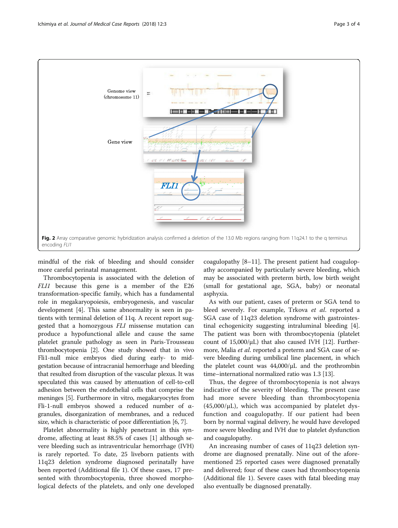<span id="page-2-0"></span>

mindful of the risk of bleeding and should consider more careful perinatal management.

Thrombocytopenia is associated with the deletion of FLI1 because this gene is a member of the E26 transformation-specific family, which has a fundamental role in megakaryopoiesis, embryogenesis, and vascular development [[4\]](#page-3-0). This same abnormality is seen in patients with terminal deletion of 11q. A recent report suggested that a homozygous FLI missense mutation can produce a hypofunctional allele and cause the same platelet granule pathology as seen in Paris-Trousseau thrombocytopenia [[2](#page-3-0)]. One study showed that in vivo Fli1-null mice embryos died during early- to midgestation because of intracranial hemorrhage and bleeding that resulted from disruption of the vascular plexus. It was speculated this was caused by attenuation of cell-to-cell adhesion between the endothelial cells that comprise the meninges [\[5](#page-3-0)]. Furthermore in vitro, megakaryocytes from Fli-1-null embryos showed a reduced number of  $\alpha$ granules, disorganization of membranes, and a reduced size, which is characteristic of poor differentiation [\[6](#page-3-0), [7\]](#page-3-0).

Platelet abnormality is highly penetrant in this syndrome, affecting at least 88.5% of cases [[1](#page-3-0)] although severe bleeding such as intraventricular hemorrhage (IVH) is rarely reported. To date, 25 liveborn patients with 11q23 deletion syndrome diagnosed perinatally have been reported (Additional file [1](#page-3-0)). Of these cases, 17 presented with thrombocytopenia, three showed morphological defects of the platelets, and only one developed coagulopathy [\[8](#page-3-0)–[11](#page-3-0)]. The present patient had coagulopathy accompanied by particularly severe bleeding, which may be associated with preterm birth, low birth weight (small for gestational age, SGA, baby) or neonatal asphyxia.

As with our patient, cases of preterm or SGA tend to bleed severely. For example, Trkova et al. reported a SGA case of 11q23 deletion syndrome with gastrointestinal echogenicity suggesting intraluminal bleeding [\[4](#page-3-0)]. The patient was born with thrombocytopenia (platelet count of  $15,000/\mu L$ ) that also caused IVH [\[12\]](#page-3-0). Furthermore, Malia et al. reported a preterm and SGA case of severe bleeding during umbilical line placement, in which the platelet count was 44,000/μL and the prothrombin time–international normalized ratio was 1.3 [[13](#page-3-0)].

Thus, the degree of thrombocytopenia is not always indicative of the severity of bleeding. The present case had more severe bleeding than thrombocytopenia  $(45,000/\mu L)$ , which was accompanied by platelet dysfunction and coagulopathy. If our patient had been born by normal vaginal delivery, he would have developed more severe bleeding and IVH due to platelet dysfunction and coagulopathy.

An increasing number of cases of 11q23 deletion syndrome are diagnosed prenatally. Nine out of the aforementioned 25 reported cases were diagnosed prenatally and delivered; four of these cases had thrombocytopenia (Additional file [1](#page-3-0)). Severe cases with fatal bleeding may also eventually be diagnosed prenatally.